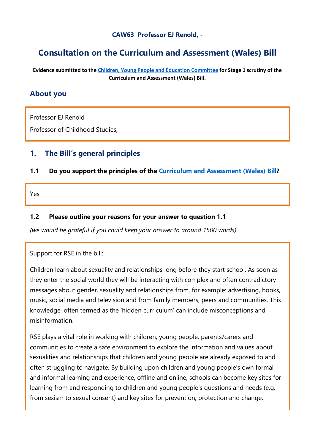#### **CAW63 Professor EJ Renold, -**

# **Consultation on the Curriculum and Assessment (Wales) Bill**

**Evidence submitted to the [Children, Young People and Education Committee](http://senedd.assembly.wales/mgCommitteeDetails.aspx?ID=443) for Stage 1 scrutiny of the Curriculum and Assessment (Wales) Bill.**

#### **About you**

Professor EJ Renold

Professor of Childhood Studies, -

### **1. The Bill's general principles**

#### **1.1 Do you support the principles of the [Curriculum and Assessment \(Wales\) Bill?](https://business.senedd.wales/mgIssueHistoryHome.aspx?IId=28836)**

Yes

#### **1.2 Please outline your reasons for your answer to question 1.1**

*(we would be grateful if you could keep your answer to around 1500 words)*

Support for RSE in the bill:

Children learn about sexuality and relationships long before they start school. As soon as they enter the social world they will be interacting with complex and often contradictory messages about gender, sexuality and relationships from, for example: advertising, books, music, social media and television and from family members, peers and communities. This knowledge, often termed as the 'hidden curriculum' can include misconceptions and misinformation.

RSE plays a vital role in working with children, young people, parents/carers and communities to create a safe environment to explore the information and values about sexualities and relationships that children and young people are already exposed to and often struggling to navigate. By building upon children and young people's own formal and informal learning and experience, offline and online, schools can become key sites for learning from and responding to children and young people's questions and needs (e.g. from sexism to sexual consent) and key sites for prevention, protection and change.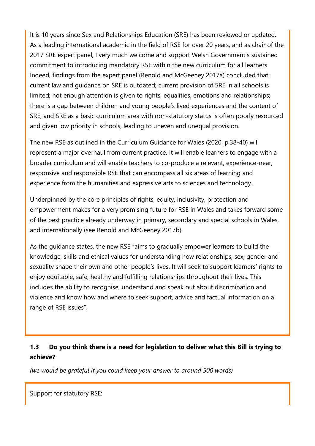It is 10 years since Sex and Relationships Education (SRE) has been reviewed or updated. As a leading international academic in the field of RSE for over 20 years, and as chair of the 2017 SRE expert panel, I very much welcome and support Welsh Government's sustained commitment to introducing mandatory RSE within the new curriculum for all learners. Indeed, findings from the expert panel (Renold and McGeeney 2017a) concluded that: current law and guidance on SRE is outdated; current provision of SRE in all schools is limited; not enough attention is given to rights, equalities, emotions and relationships; there is a gap between children and young people's lived experiences and the content of SRE; and SRE as a basic curriculum area with non-statutory status is often poorly resourced and given low priority in schools, leading to uneven and unequal provision.

The new RSE as outlined in the Curriculum Guidance for Wales (2020, p.38-40) will represent a major overhaul from current practice. It will enable learners to engage with a broader curriculum and will enable teachers to co-produce a relevant, experience-near, responsive and responsible RSE that can encompass all six areas of learning and experience from the humanities and expressive arts to sciences and technology.

Underpinned by the core principles of rights, equity, inclusivity, protection and empowerment makes for a very promising future for RSE in Wales and takes forward some of the best practice already underway in primary, secondary and special schools in Wales, and internationally (see Renold and McGeeney 2017b).

As the guidance states, the new RSE "aims to gradually empower learners to build the knowledge, skills and ethical values for understanding how relationships, sex, gender and sexuality shape their own and other people's lives. It will seek to support learners' rights to enjoy equitable, safe, healthy and fulfilling relationships throughout their lives. This includes the ability to recognise, understand and speak out about discrimination and violence and know how and where to seek support, advice and factual information on a range of RSE issues".

### **1.3 Do you think there is a need for legislation to deliver what this Bill is trying to achieve?**

*(we would be grateful if you could keep your answer to around 500 words)*

Support for statutory RSE: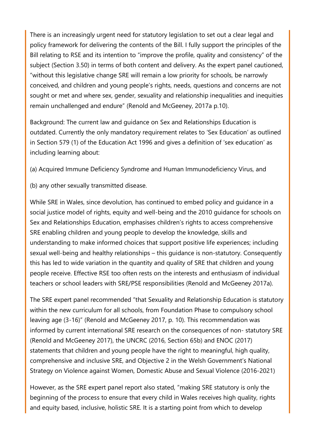There is an increasingly urgent need for statutory legislation to set out a clear legal and policy framework for delivering the contents of the Bill. I fully support the principles of the Bill relating to RSE and its intention to "improve the profile, quality and consistency" of the subject (Section 3.50) in terms of both content and delivery. As the expert panel cautioned, "without this legislative change SRE will remain a low priority for schools, be narrowly conceived, and children and young people's rights, needs, questions and concerns are not sought or met and where sex, gender, sexuality and relationship inequalities and inequities remain unchallenged and endure" (Renold and McGeeney, 2017a p.10).

Background: The current law and guidance on Sex and Relationships Education is outdated. Currently the only mandatory requirement relates to 'Sex Education' as outlined in Section 579 (1) of the Education Act 1996 and gives a definition of 'sex education' as including learning about:

(a) Acquired Immune Deficiency Syndrome and Human Immunodeficiency Virus, and

(b) any other sexually transmitted disease.

While SRE in Wales, since devolution, has continued to embed policy and guidance in a social justice model of rights, equity and well-being and the 2010 guidance for schools on Sex and Relationships Education, emphasises children's rights to access comprehensive SRE enabling children and young people to develop the knowledge, skills and understanding to make informed choices that support positive life experiences; including sexual well-being and healthy relationships – this guidance is non-statutory. Consequently this has led to wide variation in the quantity and quality of SRE that children and young people receive. Effective RSE too often rests on the interests and enthusiasm of individual teachers or school leaders with SRE/PSE responsibilities (Renold and McGeeney 2017a).

The SRE expert panel recommended "that Sexuality and Relationship Education is statutory within the new curriculum for all schools, from Foundation Phase to compulsory school leaving age (3-16)" (Renold and McGeeney 2017, p. 10). This recommendation was informed by current international SRE research on the consequences of non- statutory SRE (Renold and McGeeney 2017), the UNCRC (2016, Section 65b) and ENOC (2017) statements that children and young people have the right to meaningful, high quality, comprehensive and inclusive SRE, and Objective 2 in the Welsh Government's National Strategy on Violence against Women, Domestic Abuse and Sexual Violence (2016-2021)

However, as the SRE expert panel report also stated, "making SRE statutory is only the beginning of the process to ensure that every child in Wales receives high quality, rights and equity based, inclusive, holistic SRE. It is a starting point from which to develop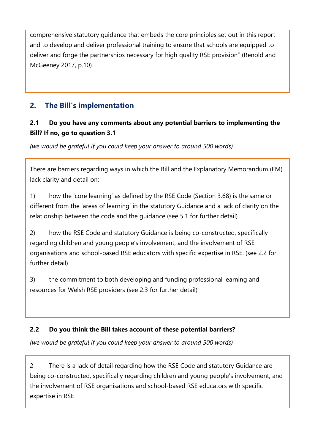comprehensive statutory guidance that embeds the core principles set out in this report and to develop and deliver professional training to ensure that schools are equipped to deliver and forge the partnerships necessary for high quality RSE provision" (Renold and McGeeney 2017, p.10)

## **2. The Bill's implementation**

### **2.1 Do you have any comments about any potential barriers to implementing the Bill? If no, go to question 3.1**

*(we would be grateful if you could keep your answer to around 500 words)*

There are barriers regarding ways in which the Bill and the Explanatory Memorandum (EM) lack clarity and detail on:

1) how the 'core learning' as defined by the RSE Code (Section 3.68) is the same or different from the 'areas of learning' in the statutory Guidance and a lack of clarity on the relationship between the code and the guidance (see 5.1 for further detail)

2) how the RSE Code and statutory Guidance is being co-constructed, specifically regarding children and young people's involvement, and the involvement of RSE organisations and school-based RSE educators with specific expertise in RSE. (see 2.2 for further detail)

3) the commitment to both developing and funding professional learning and resources for Welsh RSE providers (see 2.3 for further detail)

### **2.2 Do you think the Bill takes account of these potential barriers?**

*(we would be grateful if you could keep your answer to around 500 words)*

2 There is a lack of detail regarding how the RSE Code and statutory Guidance are being co-constructed, specifically regarding children and young people's involvement, and the involvement of RSE organisations and school-based RSE educators with specific expertise in RSE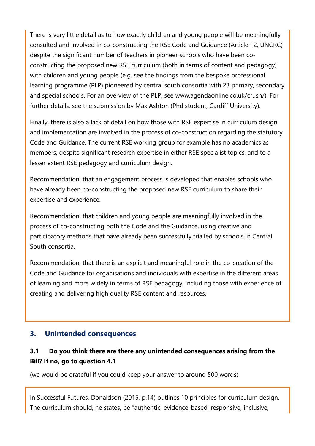There is very little detail as to how exactly children and young people will be meaningfully consulted and involved in co-constructing the RSE Code and Guidance (Article 12, UNCRC) despite the significant number of teachers in pioneer schools who have been coconstructing the proposed new RSE curriculum (both in terms of content and pedagogy) with children and young people (e.g. see the findings from the bespoke professional learning programme (PLP) pioneered by central south consortia with 23 primary, secondary and special schools. For an overview of the PLP, see www.agendaonline.co.uk/crush/). For further details, see the submission by Max Ashton (Phd student, Cardiff University).

Finally, there is also a lack of detail on how those with RSE expertise in curriculum design and implementation are involved in the process of co-construction regarding the statutory Code and Guidance. The current RSE working group for example has no academics as members, despite significant research expertise in either RSE specialist topics, and to a lesser extent RSE pedagogy and curriculum design.

Recommendation: that an engagement process is developed that enables schools who have already been co-constructing the proposed new RSE curriculum to share their expertise and experience.

Recommendation: that children and young people are meaningfully involved in the process of co-constructing both the Code and the Guidance, using creative and participatory methods that have already been successfully trialled by schools in Central South consortia.

Recommendation: that there is an explicit and meaningful role in the co-creation of the Code and Guidance for organisations and individuals with expertise in the different areas of learning and more widely in terms of RSE pedagogy, including those with experience of creating and delivering high quality RSE content and resources.

### **3. Unintended consequences**

### **3.1 Do you think there are there any unintended consequences arising from the Bill? If no, go to question 4.1**

(we would be grateful if you could keep your answer to around 500 words)

In Successful Futures, Donaldson (2015, p.14) outlines 10 principles for curriculum design. The curriculum should, he states, be "authentic, evidence-based, responsive, inclusive,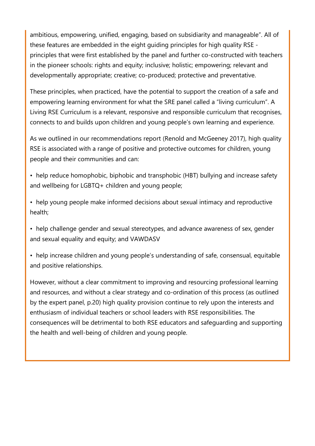ambitious, empowering, unified, engaging, based on subsidiarity and manageable". All of these features are embedded in the eight guiding principles for high quality RSE principles that were first established by the panel and further co-constructed with teachers in the pioneer schools: rights and equity; inclusive; holistic; empowering; relevant and developmentally appropriate; creative; co-produced; protective and preventative.

These principles, when practiced, have the potential to support the creation of a safe and empowering learning environment for what the SRE panel called a "living curriculum". A Living RSE Curriculum is a relevant, responsive and responsible curriculum that recognises, connects to and builds upon children and young people's own learning and experience.

As we outlined in our recommendations report (Renold and McGeeney 2017), high quality RSE is associated with a range of positive and protective outcomes for children, young people and their communities and can:

- help reduce homophobic, biphobic and transphobic (HBT) bullying and increase safety and wellbeing for LGBTQ+ children and young people;
- help young people make informed decisions about sexual intimacy and reproductive health;
- help challenge gender and sexual stereotypes, and advance awareness of sex, gender and sexual equality and equity; and VAWDASV
- help increase children and young people's understanding of safe, consensual, equitable and positive relationships.

However, without a clear commitment to improving and resourcing professional learning and resources, and without a clear strategy and co-ordination of this process (as outlined by the expert panel, p.20) high quality provision continue to rely upon the interests and enthusiasm of individual teachers or school leaders with RSE responsibilities. The consequences will be detrimental to both RSE educators and safeguarding and supporting the health and well-being of children and young people.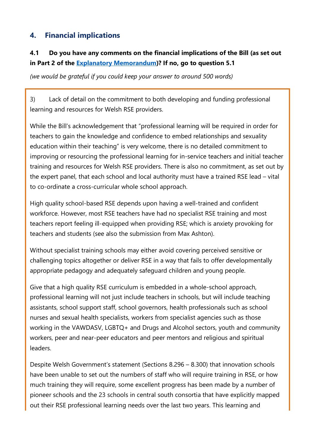## **4. Financial implications**

## **4.1 Do you have any comments on the financial implications of the Bill (as set out in Part 2 of the [Explanatory Memorandum\)](https://senedd.wales/laid%20documents/pri-ld13294-em/pri-ld13294-em%20-e.pdf)? If no, go to question 5.1**

*(we would be grateful if you could keep your answer to around 500 words)*

3) Lack of detail on the commitment to both developing and funding professional learning and resources for Welsh RSE providers.

While the Bill's acknowledgement that "professional learning will be required in order for teachers to gain the knowledge and confidence to embed relationships and sexuality education within their teaching" is very welcome, there is no detailed commitment to improving or resourcing the professional learning for in-service teachers and initial teacher training and resources for Welsh RSE providers. There is also no commitment, as set out by the expert panel, that each school and local authority must have a trained RSE lead – vital to co-ordinate a cross-curricular whole school approach.

High quality school-based RSE depends upon having a well-trained and confident workforce. However, most RSE teachers have had no specialist RSE training and most teachers report feeling ill-equipped when providing RSE; which is anxiety provoking for teachers and students (see also the submission from Max Ashton).

Without specialist training schools may either avoid covering perceived sensitive or challenging topics altogether or deliver RSE in a way that fails to offer developmentally appropriate pedagogy and adequately safeguard children and young people.

Give that a high quality RSE curriculum is embedded in a whole-school approach, professional learning will not just include teachers in schools, but will include teaching assistants, school support staff, school governors, health professionals such as school nurses and sexual health specialists, workers from specialist agencies such as those working in the VAWDASV, LGBTQ+ and Drugs and Alcohol sectors, youth and community workers, peer and near-peer educators and peer mentors and religious and spiritual leaders.

Despite Welsh Government's statement (Sections 8.296 – 8.300) that innovation schools have been unable to set out the numbers of staff who will require training in RSE, or how much training they will require, some excellent progress has been made by a number of pioneer schools and the 23 schools in central south consortia that have explicitly mapped out their RSE professional learning needs over the last two years. This learning and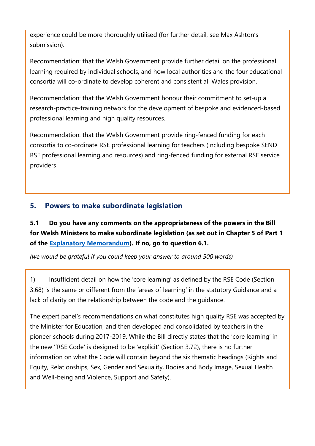experience could be more thoroughly utilised (for further detail, see Max Ashton's submission).

Recommendation: that the Welsh Government provide further detail on the professional learning required by individual schools, and how local authorities and the four educational consortia will co-ordinate to develop coherent and consistent all Wales provision.

Recommendation: that the Welsh Government honour their commitment to set-up a research-practice-training network for the development of bespoke and evidenced-based professional learning and high quality resources.

Recommendation: that the Welsh Government provide ring-fenced funding for each consortia to co-ordinate RSE professional learning for teachers (including bespoke SEND RSE professional learning and resources) and ring-fenced funding for external RSE service providers

## **5. Powers to make subordinate legislation**

**5.1 Do you have any comments on the appropriateness of the powers in the Bill for Welsh Ministers to make subordinate legislation (as set out in Chapter 5 of Part 1 of the [Explanatory Memorandum\)](https://senedd.wales/laid%20documents/pri-ld13294-em/pri-ld13294-em%20-e.pdf). If no, go to question 6.1.**

*(we would be grateful if you could keep your answer to around 500 words)*

1) Insufficient detail on how the 'core learning' as defined by the RSE Code (Section 3.68) is the same or different from the 'areas of learning' in the statutory Guidance and a lack of clarity on the relationship between the code and the guidance.

The expert panel's recommendations on what constitutes high quality RSE was accepted by the Minister for Education, and then developed and consolidated by teachers in the pioneer schools during 2017-2019. While the Bill directly states that the 'core learning' in the new ''RSE Code' is designed to be 'explicit' (Section 3.72), there is no further information on what the Code will contain beyond the six thematic headings (Rights and Equity, Relationships, Sex, Gender and Sexuality, Bodies and Body Image, Sexual Health and Well-being and Violence, Support and Safety).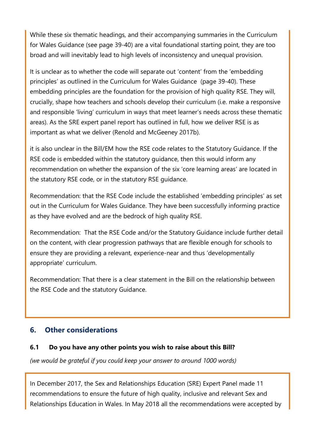While these six thematic headings, and their accompanying summaries in the Curriculum for Wales Guidance (see page 39-40) are a vital foundational starting point, they are too broad and will inevitably lead to high levels of inconsistency and unequal provision.

It is unclear as to whether the code will separate out 'content' from the 'embedding principles' as outlined in the Curriculum for Wales Guidance (page 39-40). These embedding principles are the foundation for the provision of high quality RSE. They will, crucially, shape how teachers and schools develop their curriculum (i.e. make a responsive and responsible 'living' curriculum in ways that meet learner's needs across these thematic areas). As the SRE expert panel report has outlined in full, how we deliver RSE is as important as what we deliver (Renold and McGeeney 2017b).

it is also unclear in the Bill/EM how the RSE code relates to the Statutory Guidance. If the RSE code is embedded within the statutory guidance, then this would inform any recommendation on whether the expansion of the six 'core learning areas' are located in the statutory RSE code, or in the statutory RSE guidance.

Recommendation: that the RSE Code include the established 'embedding principles' as set out in the Curriculum for Wales Guidance. They have been successfully informing practice as they have evolved and are the bedrock of high quality RSE.

Recommendation: That the RSE Code and/or the Statutory Guidance include further detail on the content, with clear progression pathways that are flexible enough for schools to ensure they are providing a relevant, experience-near and thus 'developmentally appropriate' curriculum.

Recommendation: That there is a clear statement in the Bill on the relationship between the RSE Code and the statutory Guidance.

## **6. Other considerations**

### **6.1 Do you have any other points you wish to raise about this Bill?**

*(we would be grateful if you could keep your answer to around 1000 words)*

In December 2017, the Sex and Relationships Education (SRE) Expert Panel made 11 recommendations to ensure the future of high quality, inclusive and relevant Sex and Relationships Education in Wales. In May 2018 all the recommendations were accepted by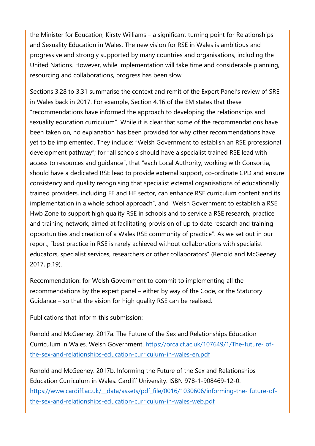the Minister for Education, Kirsty Williams – a significant turning point for Relationships and Sexuality Education in Wales. The new vision for RSE in Wales is ambitious and progressive and strongly supported by many countries and organisations, including the United Nations. However, while implementation will take time and considerable planning, resourcing and collaborations, progress has been slow.

Sections 3.28 to 3.31 summarise the context and remit of the Expert Panel's review of SRE in Wales back in 2017. For example, Section 4.16 of the EM states that these "recommendations have informed the approach to developing the relationships and sexuality education curriculum". While it is clear that some of the recommendations have been taken on, no explanation has been provided for why other recommendations have yet to be implemented. They include: "Welsh Government to establish an RSE professional development pathway"; for "all schools should have a specialist trained RSE lead with access to resources and guidance", that "each Local Authority, working with Consortia, should have a dedicated RSE lead to provide external support, co-ordinate CPD and ensure consistency and quality recognising that specialist external organisations of educationally trained providers, including FE and HE sector, can enhance RSE curriculum content and its implementation in a whole school approach", and "Welsh Government to establish a RSE Hwb Zone to support high quality RSE in schools and to service a RSE research, practice and training network, aimed at facilitating provision of up to date research and training opportunities and creation of a Wales RSE community of practice". As we set out in our report, "best practice in RSE is rarely achieved without collaborations with specialist educators, specialist services, researchers or other collaborators" (Renold and McGeeney 2017, p.19).

Recommendation: for Welsh Government to commit to implementing all the recommendations by the expert panel – either by way of the Code, or the Statutory Guidance – so that the vision for high quality RSE can be realised.

Publications that inform this submission:

Renold and McGeeney. 2017a. The Future of the Sex and Relationships Education Curriculum in Wales. Welsh Government. [https://orca.cf.ac.uk/107649/1/The-future-](https://orca.cf.ac.uk/107649/1/The-future-%20of-the-sex-and-relationships-education-curriculum-in-wales-en.pdf) of[the-sex-and-relationships-education-curriculum-in-wales-en.pdf](https://orca.cf.ac.uk/107649/1/The-future-%20of-the-sex-and-relationships-education-curriculum-in-wales-en.pdf)

Renold and McGeeney. 2017b. Informing the Future of the Sex and Relationships Education Curriculum in Wales. Cardiff University. ISBN 978-1-908469-12-0. https://www.cardiff.ac.uk/ data/assets/pdf file/0016/1030606/informing-the- future-of[the-sex-and-relationships-education-curriculum-in-wales-web.pdf](https://www.cardiff.ac.uk/__data/assets/pdf_file/0016/1030606/informing-the-%20future-of-the-sex-and-relationships-education-curriculum-in-wales-web.pdf)